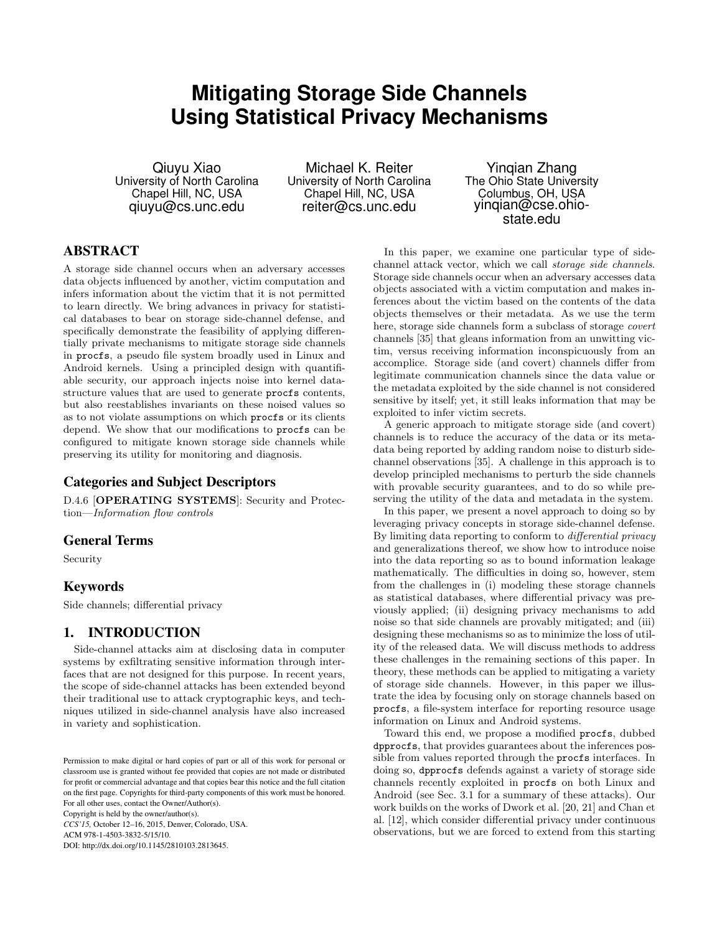# **Mitigating Storage Side Channels Using Statistical Privacy Mechanisms**

Qiuyu Xiao University of North Carolina Chapel Hill, NC, USA qiuyu@cs.unc.edu

Michael K. Reiter University of North Carolina Chapel Hill, NC, USA reiter@cs.unc.edu

Yinqian Zhang The Ohio State University Columbus, OH, USA yinqian@cse.ohiostate.edu

### ABSTRACT

A storage side channel occurs when an adversary accesses data objects influenced by another, victim computation and infers information about the victim that it is not permitted to learn directly. We bring advances in privacy for statistical databases to bear on storage side-channel defense, and specifically demonstrate the feasibility of applying differentially private mechanisms to mitigate storage side channels in procfs, a pseudo file system broadly used in Linux and Android kernels. Using a principled design with quantifiable security, our approach injects noise into kernel datastructure values that are used to generate procfs contents, but also reestablishes invariants on these noised values so as to not violate assumptions on which procfs or its clients depend. We show that our modifications to procfs can be configured to mitigate known storage side channels while preserving its utility for monitoring and diagnosis.

### Categories and Subject Descriptors

D.4.6 [OPERATING SYSTEMS]: Security and Protection—Information flow controls

#### General Terms

Security

#### Keywords

Side channels; differential privacy

### 1. INTRODUCTION

Side-channel attacks aim at disclosing data in computer systems by exfiltrating sensitive information through interfaces that are not designed for this purpose. In recent years, the scope of side-channel attacks has been extended beyond their traditional use to attack cryptographic keys, and techniques utilized in side-channel analysis have also increased in variety and sophistication.

Copyright is held by the owner/author(s). *CCS'15,* October 12–16, 2015, Denver, Colorado, USA.

ACM 978-1-4503-3832-5/15/10.

DOI: http://dx.doi.org/10.1145/2810103.2813645.

In this paper, we examine one particular type of sidechannel attack vector, which we call storage side channels. Storage side channels occur when an adversary accesses data objects associated with a victim computation and makes inferences about the victim based on the contents of the data objects themselves or their metadata. As we use the term here, storage side channels form a subclass of storage *covert* channels [35] that gleans information from an unwitting victim, versus receiving information inconspicuously from an accomplice. Storage side (and covert) channels differ from legitimate communication channels since the data value or the metadata exploited by the side channel is not considered sensitive by itself; yet, it still leaks information that may be exploited to infer victim secrets.

A generic approach to mitigate storage side (and covert) channels is to reduce the accuracy of the data or its metadata being reported by adding random noise to disturb sidechannel observations [35]. A challenge in this approach is to develop principled mechanisms to perturb the side channels with provable security guarantees, and to do so while preserving the utility of the data and metadata in the system.

In this paper, we present a novel approach to doing so by leveraging privacy concepts in storage side-channel defense. By limiting data reporting to conform to differential privacy and generalizations thereof, we show how to introduce noise into the data reporting so as to bound information leakage mathematically. The difficulties in doing so, however, stem from the challenges in (i) modeling these storage channels as statistical databases, where differential privacy was previously applied; (ii) designing privacy mechanisms to add noise so that side channels are provably mitigated; and (iii) designing these mechanisms so as to minimize the loss of utility of the released data. We will discuss methods to address these challenges in the remaining sections of this paper. In theory, these methods can be applied to mitigating a variety of storage side channels. However, in this paper we illustrate the idea by focusing only on storage channels based on procfs, a file-system interface for reporting resource usage information on Linux and Android systems.

Toward this end, we propose a modified procfs, dubbed dpprocfs, that provides guarantees about the inferences possible from values reported through the procfs interfaces. In doing so, dpprocfs defends against a variety of storage side channels recently exploited in procfs on both Linux and Android (see Sec. 3.1 for a summary of these attacks). Our work builds on the works of Dwork et al. [20, 21] and Chan et al. [12], which consider differential privacy under continuous observations, but we are forced to extend from this starting

Permission to make digital or hard copies of part or all of this work for personal or classroom use is granted without fee provided that copies are not made or distributed for profit or commercial advantage and that copies bear this notice and the full citation on the first page. Copyrights for third-party components of this work must be honored. For all other uses, contact the Owner/Author(s).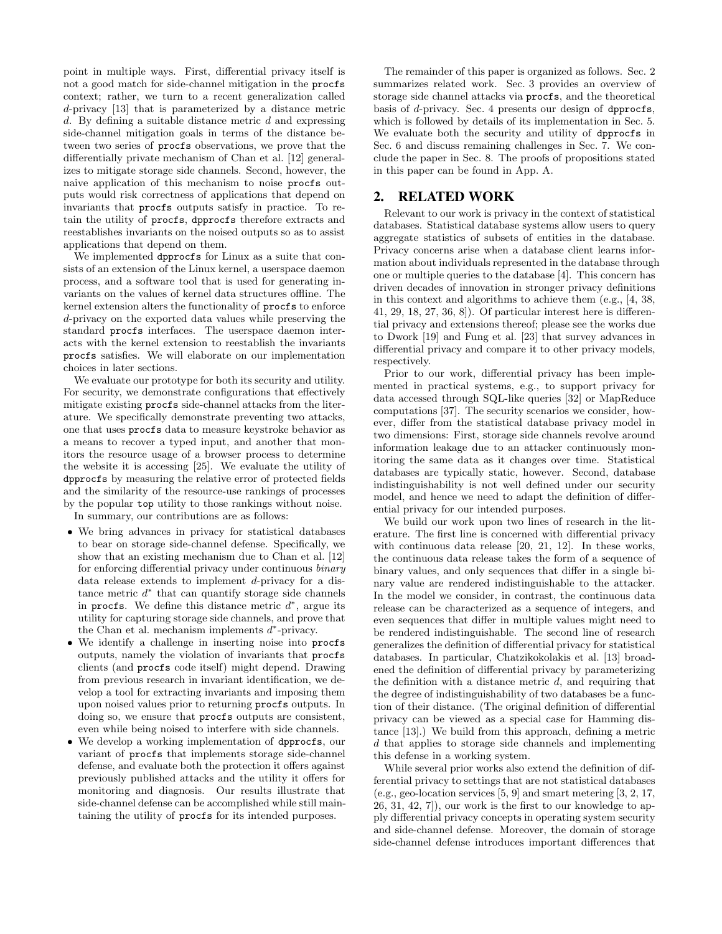point in multiple ways. First, differential privacy itself is not a good match for side-channel mitigation in the procfs context; rather, we turn to a recent generalization called d-privacy [13] that is parameterized by a distance metric d. By defining a suitable distance metric  $d$  and expressing side-channel mitigation goals in terms of the distance between two series of procfs observations, we prove that the differentially private mechanism of Chan et al. [12] generalizes to mitigate storage side channels. Second, however, the naive application of this mechanism to noise procfs outputs would risk correctness of applications that depend on invariants that procfs outputs satisfy in practice. To retain the utility of procfs, dpprocfs therefore extracts and reestablishes invariants on the noised outputs so as to assist applications that depend on them.

We implemented dpprocfs for Linux as a suite that consists of an extension of the Linux kernel, a userspace daemon process, and a software tool that is used for generating invariants on the values of kernel data structures offline. The kernel extension alters the functionality of procfs to enforce d-privacy on the exported data values while preserving the standard procfs interfaces. The userspace daemon interacts with the kernel extension to reestablish the invariants procfs satisfies. We will elaborate on our implementation choices in later sections.

We evaluate our prototype for both its security and utility. For security, we demonstrate configurations that effectively mitigate existing procfs side-channel attacks from the literature. We specifically demonstrate preventing two attacks, one that uses procfs data to measure keystroke behavior as a means to recover a typed input, and another that monitors the resource usage of a browser process to determine the website it is accessing [25]. We evaluate the utility of dpprocfs by measuring the relative error of protected fields and the similarity of the resource-use rankings of processes by the popular top utility to those rankings without noise.

In summary, our contributions are as follows:

- We bring advances in privacy for statistical databases to bear on storage side-channel defense. Specifically, we show that an existing mechanism due to Chan et al. [12] for enforcing differential privacy under continuous binary data release extends to implement d-privacy for a distance metric  $d^*$  that can quantify storage side channels in procfs. We define this distance metric  $d^*$ , argue its utility for capturing storage side channels, and prove that the Chan et al. mechanism implements  $d^*$ -privacy.
- We identify a challenge in inserting noise into procfs outputs, namely the violation of invariants that procfs clients (and procfs code itself) might depend. Drawing from previous research in invariant identification, we develop a tool for extracting invariants and imposing them upon noised values prior to returning procfs outputs. In doing so, we ensure that procfs outputs are consistent, even while being noised to interfere with side channels.
- We develop a working implementation of dpprocfs, our variant of procfs that implements storage side-channel defense, and evaluate both the protection it offers against previously published attacks and the utility it offers for monitoring and diagnosis. Our results illustrate that side-channel defense can be accomplished while still maintaining the utility of procfs for its intended purposes.

The remainder of this paper is organized as follows. Sec. 2 summarizes related work. Sec. 3 provides an overview of storage side channel attacks via procfs, and the theoretical basis of d-privacy. Sec. 4 presents our design of dpprocfs, which is followed by details of its implementation in Sec. 5. We evaluate both the security and utility of dpprocfs in Sec. 6 and discuss remaining challenges in Sec. 7. We conclude the paper in Sec. 8. The proofs of propositions stated in this paper can be found in App. A.

### 2. RELATED WORK

Relevant to our work is privacy in the context of statistical databases. Statistical database systems allow users to query aggregate statistics of subsets of entities in the database. Privacy concerns arise when a database client learns information about individuals represented in the database through one or multiple queries to the database [4]. This concern has driven decades of innovation in stronger privacy definitions in this context and algorithms to achieve them (e.g., [4, 38, 41, 29, 18, 27, 36, 8]). Of particular interest here is differential privacy and extensions thereof; please see the works due to Dwork [19] and Fung et al. [23] that survey advances in differential privacy and compare it to other privacy models, respectively.

Prior to our work, differential privacy has been implemented in practical systems, e.g., to support privacy for data accessed through SQL-like queries [32] or MapReduce computations [37]. The security scenarios we consider, however, differ from the statistical database privacy model in two dimensions: First, storage side channels revolve around information leakage due to an attacker continuously monitoring the same data as it changes over time. Statistical databases are typically static, however. Second, database indistinguishability is not well defined under our security model, and hence we need to adapt the definition of differential privacy for our intended purposes.

We build our work upon two lines of research in the literature. The first line is concerned with differential privacy with continuous data release [20, 21, 12]. In these works, the continuous data release takes the form of a sequence of binary values, and only sequences that differ in a single binary value are rendered indistinguishable to the attacker. In the model we consider, in contrast, the continuous data release can be characterized as a sequence of integers, and even sequences that differ in multiple values might need to be rendered indistinguishable. The second line of research generalizes the definition of differential privacy for statistical databases. In particular, Chatzikokolakis et al. [13] broadened the definition of differential privacy by parameterizing the definition with a distance metric  $d$ , and requiring that the degree of indistinguishability of two databases be a function of their distance. (The original definition of differential privacy can be viewed as a special case for Hamming distance [13].) We build from this approach, defining a metric d that applies to storage side channels and implementing this defense in a working system.

While several prior works also extend the definition of differential privacy to settings that are not statistical databases (e.g., geo-location services [5, 9] and smart metering [3, 2, 17, 26, 31, 42, 7]), our work is the first to our knowledge to apply differential privacy concepts in operating system security and side-channel defense. Moreover, the domain of storage side-channel defense introduces important differences that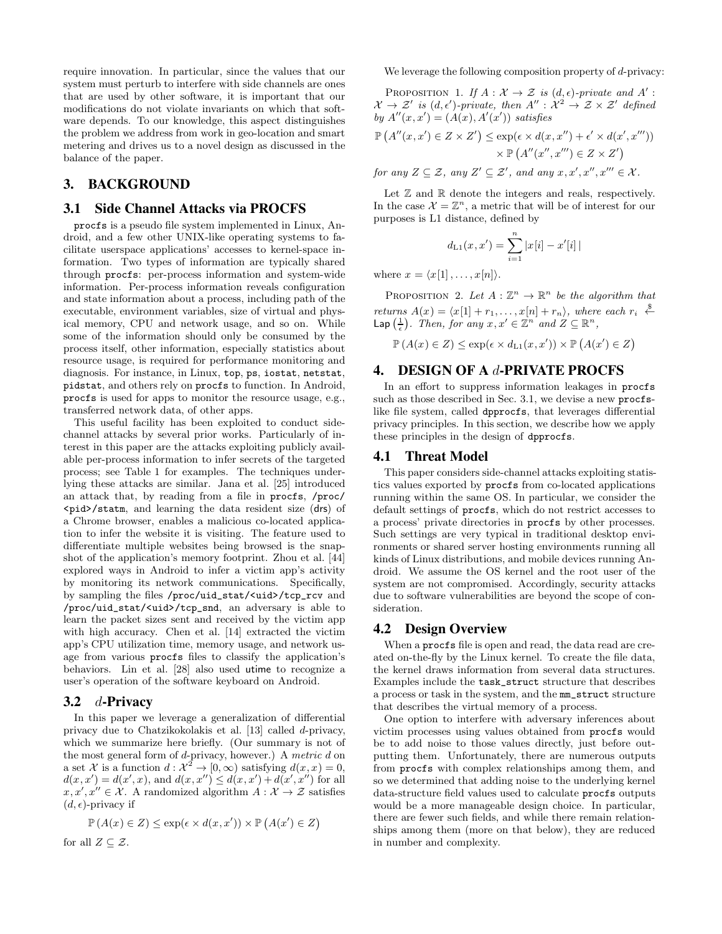require innovation. In particular, since the values that our system must perturb to interfere with side channels are ones that are used by other software, it is important that our modifications do not violate invariants on which that software depends. To our knowledge, this aspect distinguishes the problem we address from work in geo-location and smart metering and drives us to a novel design as discussed in the balance of the paper.

### 3. BACKGROUND

#### 3.1 Side Channel Attacks via PROCFS

procfs is a pseudo file system implemented in Linux, Android, and a few other UNIX-like operating systems to facilitate userspace applications' accesses to kernel-space information. Two types of information are typically shared through procfs: per-process information and system-wide information. Per-process information reveals configuration and state information about a process, including path of the executable, environment variables, size of virtual and physical memory, CPU and network usage, and so on. While some of the information should only be consumed by the process itself, other information, especially statistics about resource usage, is required for performance monitoring and diagnosis. For instance, in Linux, top, ps, iostat, netstat, pidstat, and others rely on procfs to function. In Android, procfs is used for apps to monitor the resource usage, e.g., transferred network data, of other apps.

This useful facility has been exploited to conduct sidechannel attacks by several prior works. Particularly of interest in this paper are the attacks exploiting publicly available per-process information to infer secrets of the targeted process; see Table 1 for examples. The techniques underlying these attacks are similar. Jana et al. [25] introduced an attack that, by reading from a file in procfs, /proc/ <pid>/statm, and learning the data resident size (drs) of a Chrome browser, enables a malicious co-located application to infer the website it is visiting. The feature used to differentiate multiple websites being browsed is the snapshot of the application's memory footprint. Zhou et al. [44] explored ways in Android to infer a victim app's activity by monitoring its network communications. Specifically, by sampling the files /proc/uid\_stat/<uid>/tcp\_rcv and /proc/uid\_stat/<uid>/tcp\_snd, an adversary is able to learn the packet sizes sent and received by the victim app with high accuracy. Chen et al. [14] extracted the victim app's CPU utilization time, memory usage, and network usage from various procfs files to classify the application's behaviors. Lin et al. [28] also used utime to recognize a user's operation of the software keyboard on Android.

#### 3.2  $d$ -Privacy

In this paper we leverage a generalization of differential privacy due to Chatzikokolakis et al. [13] called d-privacy, which we summarize here briefly. (Our summary is not of the most general form of d-privacy, however.) A metric d on a set X is a function  $d: \mathcal{X}^2 \to [0, \infty)$  satisfying  $d(x, x) = 0$ ,  $d(x, x') = d(x', x)$ , and  $d(x, x'') \leq d(x, x') + d(x', x'')$  for all  $x, x', x'' \in \mathcal{X}$ . A randomized algorithm  $A: \mathcal{X} \to \mathcal{Z}$  satisfies  $(d, \epsilon)$ -privacy if

$$
\mathbb{P}\left(A(x) \in Z\right) \le \exp(\epsilon \times d(x, x')) \times \mathbb{P}\left(A(x') \in Z\right)
$$

for all  $Z \subseteq \mathcal{Z}$ .

We leverage the following composition property of  $d$ -privacy:

PROPOSITION 1. If  $A: \mathcal{X} \to \mathcal{Z}$  is  $(d, \epsilon)$ -private and A':  $\mathcal{X} \to \mathcal{Z}'$  is  $(d, \epsilon')$ -private, then  $A'' : \mathcal{X}^2 \to \mathcal{Z} \times \mathcal{Z}'$  defined by  $A''(x, x') = (A(x), A'(x'))$  satisfies

$$
\mathbb{P}\left(A''(x,x')\in Z\times Z'\right)\leq \exp(\epsilon\times d(x,x'')+\epsilon'\times d(x',x'''))
$$

$$
\times\mathbb{P}\left(A''(x'',x''')\in Z\times Z'\right)
$$

for any  $Z \subseteq \mathcal{Z}$ , any  $Z' \subseteq \mathcal{Z}'$ , and any  $x, x', x'', x''' \in \mathcal{X}$ .

Let  $\mathbb Z$  and  $\mathbb R$  denote the integers and reals, respectively. In the case  $\mathcal{X} = \mathbb{Z}^n$ , a metric that will be of interest for our purposes is L1 distance, defined by

$$
d_{\text{L1}}(x, x') = \sum_{i=1}^{n} |x[i] - x'[i]|
$$

where  $x = \langle x[1], \ldots, x[n]\rangle$ .

PROPOSITION 2. Let  $A: \mathbb{Z}^n \to \mathbb{R}^n$  be the algorithm that returns  $A(x) = \langle x[1] + r_1, \ldots, x[n] + r_n \rangle$ , where each  $r_i \stackrel{\$}{\leftarrow}$ Lap  $\left(\frac{1}{\epsilon}\right)$ . Then, for any  $x, x' \in \mathbb{Z}^n$  and  $Z \subseteq \mathbb{R}^n$ ,

$$
\mathbb{P}\left(A(x) \in Z\right) \le \exp\left(\epsilon \times d_{\text{L1}}(x, x')\right) \times \mathbb{P}\left(A(x') \in Z\right)
$$

### 4. DESIGN OF A d-PRIVATE PROCFS

In an effort to suppress information leakages in procfs such as those described in Sec. 3.1, we devise a new procfslike file system, called dpprocfs, that leverages differential privacy principles. In this section, we describe how we apply these principles in the design of dpprocfs.

#### 4.1 Threat Model

This paper considers side-channel attacks exploiting statistics values exported by procfs from co-located applications running within the same OS. In particular, we consider the default settings of procfs, which do not restrict accesses to a process' private directories in procfs by other processes. Such settings are very typical in traditional desktop environments or shared server hosting environments running all kinds of Linux distributions, and mobile devices running Android. We assume the OS kernel and the root user of the system are not compromised. Accordingly, security attacks due to software vulnerabilities are beyond the scope of consideration.

### 4.2 Design Overview

When a procfs file is open and read, the data read are created on-the-fly by the Linux kernel. To create the file data, the kernel draws information from several data structures. Examples include the task\_struct structure that describes a process or task in the system, and the mm\_struct structure that describes the virtual memory of a process.

One option to interfere with adversary inferences about victim processes using values obtained from procfs would be to add noise to those values directly, just before outputting them. Unfortunately, there are numerous outputs from procfs with complex relationships among them, and so we determined that adding noise to the underlying kernel data-structure field values used to calculate procfs outputs would be a more manageable design choice. In particular, there are fewer such fields, and while there remain relationships among them (more on that below), they are reduced in number and complexity.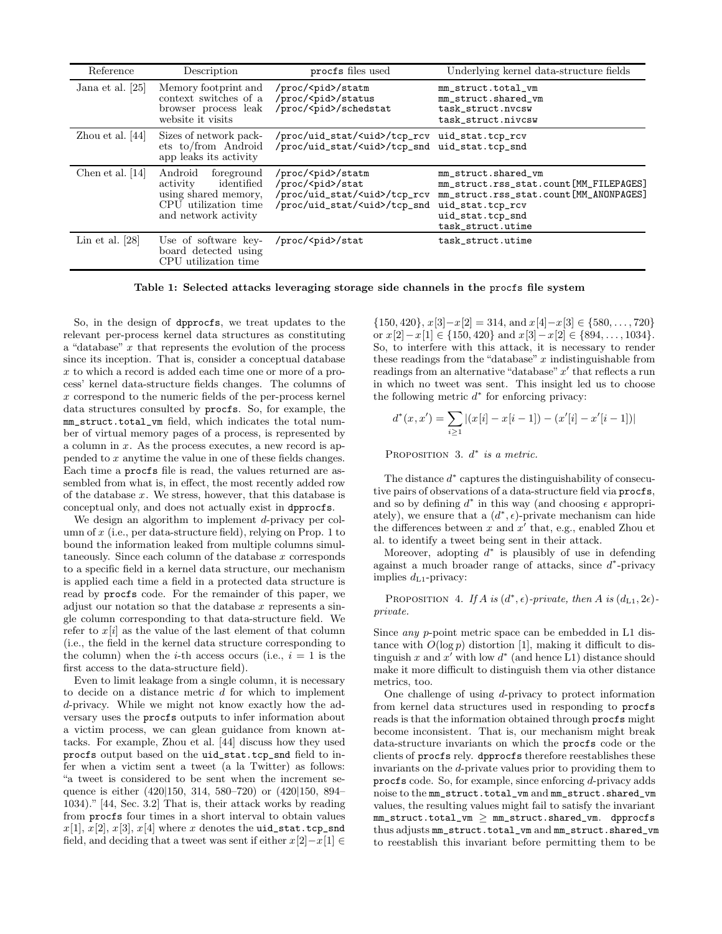| Reference          | Description                                                                                                             | procfs files used                                                                                                                 | Underlying kernel data-structure fields                                                                                                                              |
|--------------------|-------------------------------------------------------------------------------------------------------------------------|-----------------------------------------------------------------------------------------------------------------------------------|----------------------------------------------------------------------------------------------------------------------------------------------------------------------|
| Jana et al. [25]   | Memory footprint and<br>context switches of a<br>browser process leak<br>website it visits                              | /proc/ <pid>/statm<br/>/proc/<pid>/status<br/>/proc/<pid>/schedstat</pid></pid></pid>                                             | mm_struct.total_vm<br>mm_struct.shared_vm<br>task_struct.nvcsw<br>task_struct.nivcsw                                                                                 |
| Zhou et al. $[44]$ | Sizes of network pack-<br>ets to/from Android<br>app leaks its activity                                                 | /proc/uid_stat/ <uid>/tcp_rcv<br/>/proc/uid_stat/<uid>/tcp_snd</uid></uid>                                                        | uid_stat.tcp_rcv<br>uid_stat.tcp_snd                                                                                                                                 |
| Chen et al. $[14]$ | Android<br>foreground<br>identified<br>activity<br>using shared memory.<br>CPU utilization time<br>and network activity | /proc/ <pid>/statm<br/>/proc/<pid>/stat<br/>/proc/uid_stat/<uid>/tcp_rcv<br/>/proc/uid_stat/<uid>/tcp_snd</uid></uid></pid></pid> | mm_struct.shared_vm<br>mm_struct.rss_stat.count[MM_FILEPAGES]<br>mm_struct.rss_stat.count[MM_ANONPAGES]<br>uid_stat.tcp_rcv<br>uid_stat.tcp_snd<br>task_struct.utime |
| Lin et al. $[28]$  | Use of software key-<br>board detected using<br>CPU utilization time                                                    | /proc/ <pid>/stat</pid>                                                                                                           | task_struct.utime                                                                                                                                                    |

Table 1: Selected attacks leveraging storage side channels in the procfs file system

So, in the design of dpprocfs, we treat updates to the relevant per-process kernel data structures as constituting a "database"  $x$  that represents the evolution of the process since its inception. That is, consider a conceptual database x to which a record is added each time one or more of a process' kernel data-structure fields changes. The columns of  $x$  correspond to the numeric fields of the per-process kernel data structures consulted by procfs. So, for example, the mm\_struct.total\_vm field, which indicates the total number of virtual memory pages of a process, is represented by a column in  $x$ . As the process executes, a new record is appended to x anytime the value in one of these fields changes. Each time a procfs file is read, the values returned are assembled from what is, in effect, the most recently added row of the database  $x$ . We stress, however, that this database is conceptual only, and does not actually exist in dpprocfs.

We design an algorithm to implement d-privacy per column of  $x$  (i.e., per data-structure field), relying on Prop. 1 to bound the information leaked from multiple columns simultaneously. Since each column of the database  $x$  corresponds to a specific field in a kernel data structure, our mechanism is applied each time a field in a protected data structure is read by procfs code. For the remainder of this paper, we adjust our notation so that the database  $x$  represents a single column corresponding to that data-structure field. We refer to  $x[i]$  as the value of the last element of that column (i.e., the field in the kernel data structure corresponding to the column) when the *i*-th access occurs (i.e.,  $i = 1$  is the first access to the data-structure field).

Even to limit leakage from a single column, it is necessary to decide on a distance metric  $d$  for which to implement d-privacy. While we might not know exactly how the adversary uses the procfs outputs to infer information about a victim process, we can glean guidance from known attacks. For example, Zhou et al. [44] discuss how they used procfs output based on the uid\_stat.tcp\_snd field to infer when a victim sent a tweet (a la Twitter) as follows: "a tweet is considered to be sent when the increment sequence is either (420|150, 314, 580–720) or (420|150, 894– 1034)." [44, Sec. 3.2] That is, their attack works by reading from procfs four times in a short interval to obtain values  $x[1], x[2], x[3], x[4]$  where x denotes the uid\_stat.tcp\_snd field, and deciding that a tweet was sent if either  $x[2]-x[1] \in$ 

 $\{150, 420\}, x[3]-x[2] = 314, \text{ and } x[4]-x[3] \in \{580, \ldots, 720\}$ or  $x[2]-x[1] \in \{150, 420\}$  and  $x[3]-x[2] \in \{894, \ldots, 1034\}.$ So, to interfere with this attack, it is necessary to render these readings from the "database"  $x$  indistinguishable from readings from an alternative "database"  $x'$  that reflects a run in which no tweet was sent. This insight led us to choose the following metric  $d^*$  for enforcing privacy:

$$
d^*(x, x') = \sum_{i \ge 1} |(x[i] - x[i-1]) - (x'[i] - x'[i-1])|
$$

PROPOSITION 3.  $d^*$  is a metric.

The distance  $d^*$  captures the distinguishability of consecutive pairs of observations of a data-structure field via procfs, and so by defining  $d^*$  in this way (and choosing  $\epsilon$  appropriately), we ensure that a  $(d^*, \epsilon)$ -private mechanism can hide the differences between x and  $x'$  that, e.g., enabled Zhou et al. to identify a tweet being sent in their attack.

Moreover, adopting  $d^*$  is plausibly of use in defending against a much broader range of attacks, since  $d^*$ -privacy implies  $d_{L1}$ -privacy:

PROPOSITION 4. If A is  $(d^*, \epsilon)$ -private, then A is  $(d_{L1}, 2\epsilon)$ private.

Since any p-point metric space can be embedded in L1 distance with  $O(\log p)$  distortion [1], making it difficult to distinguish x and  $x'$  with low  $d^*$  (and hence L1) distance should make it more difficult to distinguish them via other distance metrics, too.

One challenge of using d-privacy to protect information from kernel data structures used in responding to procfs reads is that the information obtained through procfs might become inconsistent. That is, our mechanism might break data-structure invariants on which the procfs code or the clients of procfs rely. dpprocfs therefore reestablishes these invariants on the d-private values prior to providing them to procfs code. So, for example, since enforcing d-privacy adds noise to the mm\_struct.total\_vm and mm\_struct.shared\_vm values, the resulting values might fail to satisfy the invariant  $mm\_struct.total\_vm \ge mm\_struct.shared\_vm.$  dpprocfs thus adjusts mm\_struct.total\_vm and mm\_struct.shared\_vm to reestablish this invariant before permitting them to be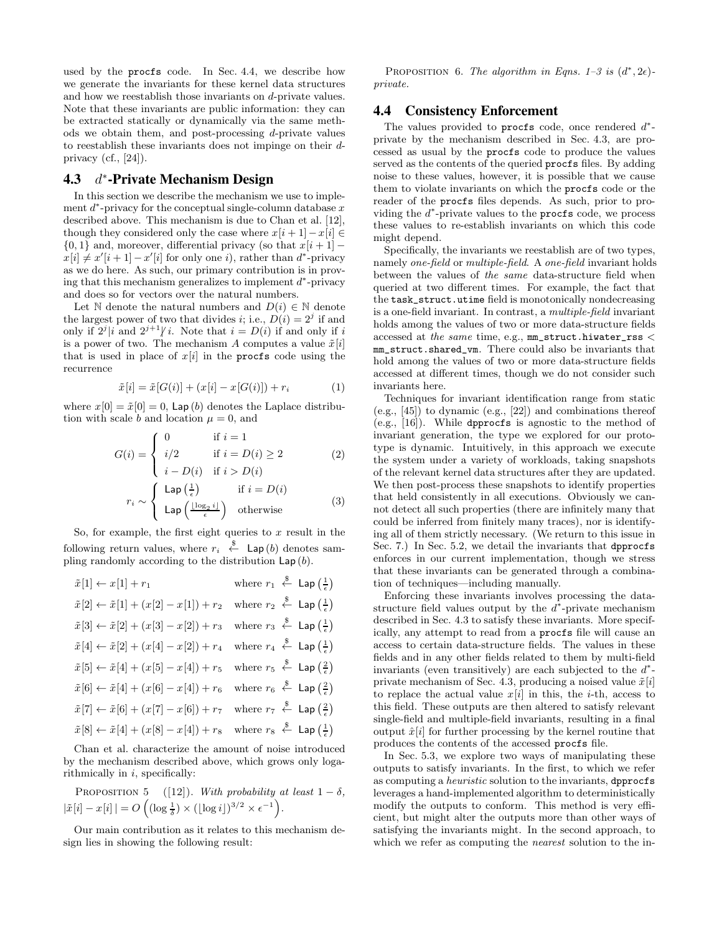used by the procfs code. In Sec. 4.4, we describe how we generate the invariants for these kernel data structures and how we reestablish those invariants on d-private values. Note that these invariants are public information: they can be extracted statically or dynamically via the same methods we obtain them, and post-processing d-private values to reestablish these invariants does not impinge on their dprivacy (cf.,  $[24]$ ).

#### $4.3$ ∗ -Private Mechanism Design

In this section we describe the mechanism we use to implement  $d^*$ -privacy for the conceptual single-column database  $x$ described above. This mechanism is due to Chan et al. [12], though they considered only the case where  $x[i + 1] - x[i] \in$  $\{0, 1\}$  and, moreover, differential privacy (so that  $x[i + 1]$  –  $x[i] \neq x'[i+1] - x'[i]$  for only one i), rather than  $d^*$ -privacy as we do here. As such, our primary contribution is in proving that this mechanism generalizes to implement  $d^*$ -privacy and does so for vectors over the natural numbers.

Let N denote the natural numbers and  $D(i) \in \mathbb{N}$  denote the largest power of two that divides *i*; i.e.,  $D(i) = 2<sup>j</sup>$  if and only if  $2^{j} | i$  and  $2^{j+1} | i$ . Note that  $i = D(i)$  if and only if i is a power of two. The mechanism A computes a value  $\tilde{x}[i]$ that is used in place of  $x[i]$  in the procfs code using the recurrence

$$
\tilde{x}[i] = \tilde{x}[G(i)] + (x[i] - x[G(i)]) + r_i \tag{1}
$$

where  $x[0] = \tilde{x}[0] = 0$ , Lap (b) denotes the Laplace distribution with scale b and location  $\mu = 0$ , and

$$
G(i) = \begin{cases} 0 & \text{if } i = 1\\ i/2 & \text{if } i = D(i) \ge 2\\ i - D(i) & \text{if } i > D(i) \end{cases}
$$
 (2)

$$
r_i \sim \begin{cases} \text{Lap}\left(\frac{1}{\epsilon}\right) & \text{if } i = D(i) \\ \text{Lap}\left(\frac{\lfloor \log_2 i \rfloor}{\epsilon}\right) & \text{otherwise} \end{cases}
$$
 (3)

So, for example, the first eight queries to  $x$  result in the following return values, where  $r_i \stackrel{\$}{\leftarrow}$  Lap(b) denotes sampling randomly according to the distribution  $\textsf{Lap}(b)$ .

| $\tilde{x}[2] \leftarrow \tilde{x}[1] + (x[2] - x[1]) + r_2$<br>$\tilde{x}[3] \leftarrow \tilde{x}[2] + (x[3] - x[2]) + r_3$<br>$\tilde{x}[4] \leftarrow \tilde{x}[2] + (x[4] - x[2]) + r_4$<br>$\tilde{x}[5] \leftarrow \tilde{x}[4] + (x[5] - x[4]) + r_5$<br>$\tilde{x}[6] \leftarrow \tilde{x}[4] + (x[6] - x[4]) + r_6$<br>$\tilde{x}[7] \leftarrow \tilde{x}[6] + (x[7] - x[6]) + r_7$<br>$\tilde{x}[8] \leftarrow \tilde{x}[4] + (x[8] - x[4]) + r_8$ where $r_8 \stackrel{\$}{\leftarrow}$ Lap $\left(\frac{1}{\epsilon}\right)$ | $\tilde{x}[1] \leftarrow x[1] + r_1$ | where $r_1 \stackrel{\$}{\leftarrow}$ Lap $\left(\frac{1}{\epsilon}\right)$ |
|------------------------------------------------------------------------------------------------------------------------------------------------------------------------------------------------------------------------------------------------------------------------------------------------------------------------------------------------------------------------------------------------------------------------------------------------------------------------------------------------------------------------------------------|--------------------------------------|-----------------------------------------------------------------------------|
|                                                                                                                                                                                                                                                                                                                                                                                                                                                                                                                                          |                                      | where $r_2 \xleftarrow{\$} \mathsf{Lap}\left(\frac{1}{\epsilon}\right)$     |
|                                                                                                                                                                                                                                                                                                                                                                                                                                                                                                                                          |                                      | where $r_3 \xleftarrow{\$} \mathsf{Lap}\left(\frac{1}{\epsilon}\right)$     |
|                                                                                                                                                                                                                                                                                                                                                                                                                                                                                                                                          |                                      | where $r_4 \stackrel{\$}{\leftarrow}$ Lap $\left(\frac{1}{e}\right)$        |
|                                                                                                                                                                                                                                                                                                                                                                                                                                                                                                                                          |                                      | where $r_5 \stackrel{\$}{\leftarrow}$ Lap $\left(\frac{2}{\epsilon}\right)$ |
|                                                                                                                                                                                                                                                                                                                                                                                                                                                                                                                                          |                                      | where $r_6 \leftarrow^{\$}$ Lap $\left(\frac{2}{\epsilon}\right)$           |
|                                                                                                                                                                                                                                                                                                                                                                                                                                                                                                                                          |                                      | where $r_7 \stackrel{\$}{\leftarrow}$ Lap $\left(\frac{2}{e}\right)$        |
|                                                                                                                                                                                                                                                                                                                                                                                                                                                                                                                                          |                                      |                                                                             |

Chan et al. characterize the amount of noise introduced by the mechanism described above, which grows only logarithmically in  $i$ , specifically:

PROPOSITION 5 ([12]). With probability at least 
$$
1 - \delta
$$
,  
 $|\tilde{x}[i] - x[i]| = O\left((\log \frac{1}{\delta}) \times (\lfloor \log i \rfloor)^{3/2} \times \epsilon^{-1}\right).$ 

Our main contribution as it relates to this mechanism design lies in showing the following result:

PROPOSITION 6. The algorithm in Eqns. 1–3 is  $(d^*, 2\epsilon)$ private.

#### 4.4 Consistency Enforcement

The values provided to procfs code, once rendered  $d^*$ private by the mechanism described in Sec. 4.3, are processed as usual by the procfs code to produce the values served as the contents of the queried procfs files. By adding noise to these values, however, it is possible that we cause them to violate invariants on which the procfs code or the reader of the procfs files depends. As such, prior to providing the  $d^*$ -private values to the procfs code, we process these values to re-establish invariants on which this code might depend.

Specifically, the invariants we reestablish are of two types, namely one-field or multiple-field. A one-field invariant holds between the values of the same data-structure field when queried at two different times. For example, the fact that the task\_struct.utime field is monotonically nondecreasing is a one-field invariant. In contrast, a multiple-field invariant holds among the values of two or more data-structure fields accessed at the same time, e.g.,  $mm\_struct.hivater\_rss <$ mm\_struct.shared\_vm. There could also be invariants that hold among the values of two or more data-structure fields accessed at different times, though we do not consider such invariants here.

Techniques for invariant identification range from static (e.g., [45]) to dynamic (e.g., [22]) and combinations thereof (e.g., [16]). While dpprocfs is agnostic to the method of invariant generation, the type we explored for our prototype is dynamic. Intuitively, in this approach we execute the system under a variety of workloads, taking snapshots of the relevant kernel data structures after they are updated. We then post-process these snapshots to identify properties that held consistently in all executions. Obviously we cannot detect all such properties (there are infinitely many that could be inferred from finitely many traces), nor is identifying all of them strictly necessary. (We return to this issue in Sec. 7.) In Sec. 5.2, we detail the invariants that dpprocfs enforces in our current implementation, though we stress that these invariants can be generated through a combination of techniques—including manually.

Enforcing these invariants involves processing the datastructure field values output by the  $d^*$ -private mechanism described in Sec. 4.3 to satisfy these invariants. More specifically, any attempt to read from a procfs file will cause an access to certain data-structure fields. The values in these fields and in any other fields related to them by multi-field invariants (even transitively) are each subjected to the  $d^*$ private mechanism of Sec. 4.3, producing a noised value  $\tilde{x}[i]$ to replace the actual value  $x[i]$  in this, the *i*-th, access to this field. These outputs are then altered to satisfy relevant single-field and multiple-field invariants, resulting in a final output  $\hat{x}[i]$  for further processing by the kernel routine that produces the contents of the accessed procfs file.

In Sec. 5.3, we explore two ways of manipulating these outputs to satisfy invariants. In the first, to which we refer as computing a heuristic solution to the invariants, dpprocfs leverages a hand-implemented algorithm to deterministically modify the outputs to conform. This method is very efficient, but might alter the outputs more than other ways of satisfying the invariants might. In the second approach, to which we refer as computing the *nearest* solution to the in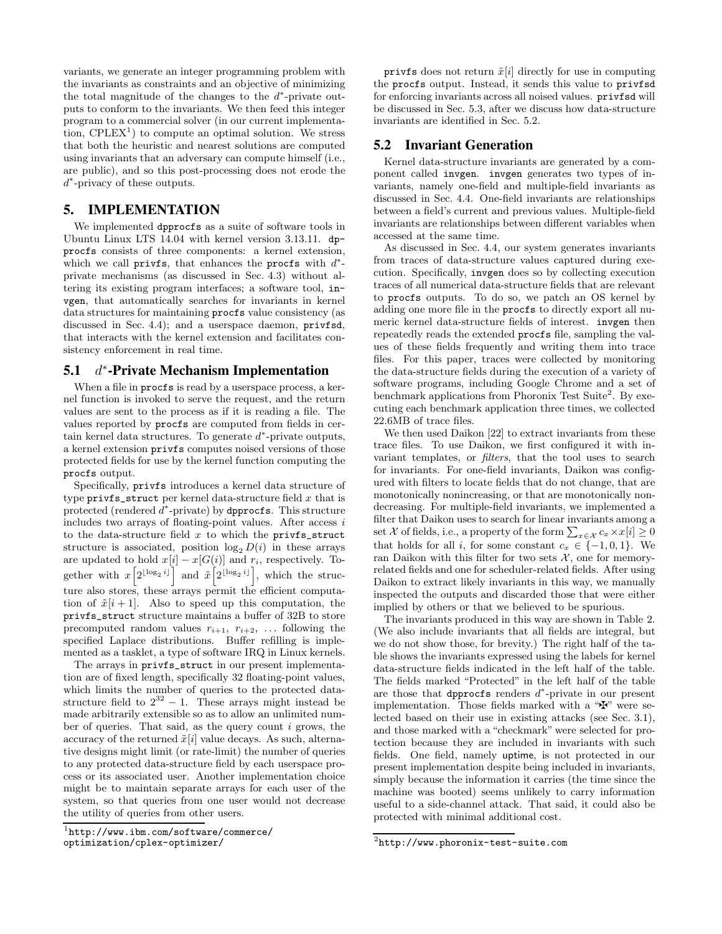variants, we generate an integer programming problem with the invariants as constraints and an objective of minimizing the total magnitude of the changes to the  $d^*$ -private outputs to conform to the invariants. We then feed this integer program to a commercial solver (in our current implementation,  $\text{CPLEX}^1$  to compute an optimal solution. We stress that both the heuristic and nearest solutions are computed using invariants that an adversary can compute himself (i.e., are public), and so this post-processing does not erode the d ∗ -privacy of these outputs.

### 5. IMPLEMENTATION

We implemented dpprocfs as a suite of software tools in Ubuntu Linux LTS 14.04 with kernel version 3.13.11. dpprocfs consists of three components: a kernel extension, which we call privfs, that enhances the procfs with  $d^*$ private mechanisms (as discussed in Sec. 4.3) without altering its existing program interfaces; a software tool, invgen, that automatically searches for invariants in kernel data structures for maintaining procfs value consistency (as discussed in Sec. 4.4); and a userspace daemon, privfsd, that interacts with the kernel extension and facilitates consistency enforcement in real time.

#### 5.1 ∗ -Private Mechanism Implementation

When a file in **procfs** is read by a userspace process, a kernel function is invoked to serve the request, and the return values are sent to the process as if it is reading a file. The values reported by procfs are computed from fields in certain kernel data structures. To generate  $d^*$ -private outputs, a kernel extension privfs computes noised versions of those protected fields for use by the kernel function computing the procfs output.

Specifically, privfs introduces a kernel data structure of type  $\text{privfs}\_ \text{struct}$  per kernel data-structure field x that is protected (rendered d<sup>\*</sup>-private) by dpprocfs. This structure includes two arrays of floating-point values. After access  $i$ to the data-structure field  $x$  to which the privfs\_struct structure is associated, position  $\log_2 D(i)$  in these arrays are updated to hold  $x[i] - x[G(i)]$  and  $r_i$ , respectively. Together with  $x\left[2^{\lfloor \log_2 i \rfloor} \right]$  and  $\tilde{x}\left[2^{\lfloor \log_2 i \rfloor} \right]$ , which the structure also stores, these arrays permit the efficient computation of  $\tilde{x}[i+1]$ . Also to speed up this computation, the privfs\_struct structure maintains a buffer of 32B to store precomputed random values  $r_{i+1}$ ,  $r_{i+2}$ , ... following the specified Laplace distributions. Buffer refilling is implemented as a tasklet, a type of software IRQ in Linux kernels.

The arrays in privfs\_struct in our present implementation are of fixed length, specifically 32 floating-point values, which limits the number of queries to the protected datastructure field to  $2^{32} - 1$ . These arrays might instead be made arbitrarily extensible so as to allow an unlimited number of queries. That said, as the query count  $i$  grows, the accuracy of the returned  $\tilde{x}[i]$  value decays. As such, alternative designs might limit (or rate-limit) the number of queries to any protected data-structure field by each userspace process or its associated user. Another implementation choice might be to maintain separate arrays for each user of the system, so that queries from one user would not decrease the utility of queries from other users.

privfs does not return  $\tilde{x}[i]$  directly for use in computing the procfs output. Instead, it sends this value to privfsd for enforcing invariants across all noised values. privfsd will be discussed in Sec. 5.3, after we discuss how data-structure invariants are identified in Sec. 5.2.

### 5.2 Invariant Generation

Kernel data-structure invariants are generated by a component called invgen. invgen generates two types of invariants, namely one-field and multiple-field invariants as discussed in Sec. 4.4. One-field invariants are relationships between a field's current and previous values. Multiple-field invariants are relationships between different variables when accessed at the same time.

As discussed in Sec. 4.4, our system generates invariants from traces of data-structure values captured during execution. Specifically, invgen does so by collecting execution traces of all numerical data-structure fields that are relevant to procfs outputs. To do so, we patch an OS kernel by adding one more file in the procfs to directly export all numeric kernel data-structure fields of interest. invgen then repeatedly reads the extended procfs file, sampling the values of these fields frequently and writing them into trace files. For this paper, traces were collected by monitoring the data-structure fields during the execution of a variety of software programs, including Google Chrome and a set of benchmark applications from Phoronix Test Suite<sup>2</sup>. By executing each benchmark application three times, we collected 22.6MB of trace files.

We then used Daikon [22] to extract invariants from these trace files. To use Daikon, we first configured it with invariant templates, or filters, that the tool uses to search for invariants. For one-field invariants, Daikon was configured with filters to locate fields that do not change, that are monotonically nonincreasing, or that are monotonically nondecreasing. For multiple-field invariants, we implemented a filter that Daikon uses to search for linear invariants among a set  $\mathcal X$  of fields, i.e., a property of the form  $\sum_{x \in \mathcal X} c_x \times x[i] \geq 0$ that holds for all i, for some constant  $c_x \in \{-1,0,1\}$ . We ran Daikon with this filter for two sets  $\mathcal{X}$ , one for memoryrelated fields and one for scheduler-related fields. After using Daikon to extract likely invariants in this way, we manually inspected the outputs and discarded those that were either implied by others or that we believed to be spurious.

The invariants produced in this way are shown in Table 2. (We also include invariants that all fields are integral, but we do not show those, for brevity.) The right half of the table shows the invariants expressed using the labels for kernel data-structure fields indicated in the left half of the table. The fields marked "Protected" in the left half of the table are those that dpprocfs renders  $d^*$ -private in our present implementation. Those fields marked with a " $\mathbf{\ddot{F}}$ " were selected based on their use in existing attacks (see Sec. 3.1), and those marked with a "checkmark" were selected for protection because they are included in invariants with such fields. One field, namely uptime, is not protected in our present implementation despite being included in invariants, simply because the information it carries (the time since the machine was booted) seems unlikely to carry information useful to a side-channel attack. That said, it could also be protected with minimal additional cost.

<sup>1</sup> http://www.ibm.com/software/commerce/ optimization/cplex-optimizer/

 $^{2}$ http://www.phoronix-test-suite.com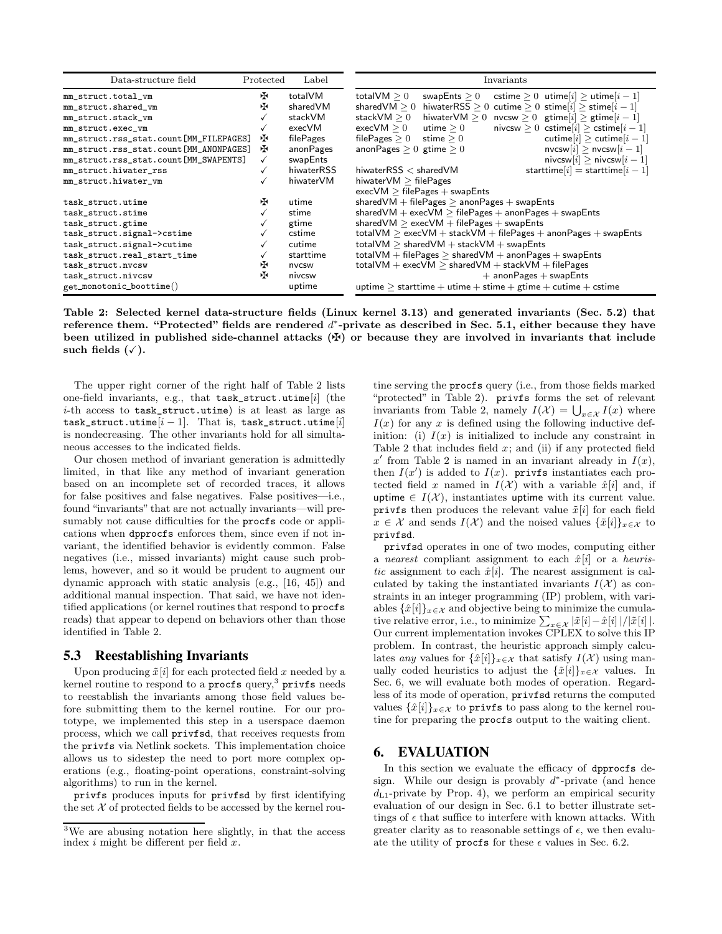| Data-structure field                   | Protected | Label      | Invariants                                                                                  |
|----------------------------------------|-----------|------------|---------------------------------------------------------------------------------------------|
| mm_struct.total_vm                     | 呸         | totalVM    | total $\mathsf{VM}\geq 0$<br>cstime $> 0$ utime $ i  >$ utime $ i-1 $<br>swapEnts $\geq 0$  |
| mm_struct.shared_vm                    | Æ         | sharedVM   | shared $VM > 0$<br>hiwaterRSS $> 0$ cutime $> 0$ stime[i] $>$ stime[i - 1]                  |
| mm_struct.stack_vm                     |           | stackVM    | hiwaterVM $\geq 0$ nvcsw $\geq 0$ gtime[i] $\geq$ gtime[i - 1]<br>stack $\mathsf{VM}\geq 0$ |
| mm_struct.exec_vm                      |           | execVM     | nivcsw $> 0$ cstime $[i]$ $>$ cstime $[i-1]$<br>$execVM \geq 0$<br>utime $\geq 0$           |
| mm_struct.rss_stat.count[MM_FILEPAGES] | ÷.        | filePages  | cutime $ i  >$ cutime $ i-1 $<br>file $\mathsf{Pages} \geq 0$<br>stime $\geq 0$             |
| mm_struct.rss_stat.count[MM_ANONPAGES] | ÷.        | anonPages  | $nvcsw[i] > nvcsw[i-1]$<br>anonPages $> 0$ gtime $> 0$                                      |
| mm_struct.rss_stat.count[MM_SWAPENTS]  |           | swapEnts   | nivcsw $[i] >$ nivcsw $[i-1]$                                                               |
| mm_struct.hiwater_rss                  |           | hiwaterRSS | starttime $[i]$ = starttime $[i-1]$<br>hiwater $RSS <$ shared $VM$                          |
| mm_struct.hiwater_vm                   |           | hiwaterVM  | hiwater $VM > filePages$                                                                    |
|                                        |           |            | $execVM$ > filePages + swapEnts                                                             |
| task_struct.utime                      | нŦ        | utime      | shared $VM$ + file Pages $>$ anon Pages + swap Ents                                         |
| task_struct.stime                      |           | stime      | shared VM $+$ exec VM $>$ file Pages $+$ anon Pages $+$ swap Ents                           |
| task_struct.gtime                      |           | gtime      | shared VM $>$ exec VM $+$ file Pages $+$ swap Ents                                          |
| task_struct.signal->cstime             |           | cstime     | $totalVM > execVM + stackVM + file Pages + anon Pages + swapEnts$                           |
| task_struct.signal->cutime             |           | cutime     | total VM $>$ shared VM $+$ stack VM $+$ swap Ents                                           |
| task_struct.real_start_time            |           | starttime  | total VM + file Pages $\geq$ shared VM + anon Pages + swap Ents                             |
| task_struct.nvcsw                      | Æ         | nvcsw      | $totalVM + execVM > sharedVM + stackVM + file Pages$                                        |
| task_struct.nivcsw                     | Æ         | nivcsw     | $+$ anon Pages $+$ swap Ents                                                                |
| get_monotonic_boottime()               |           | uptime     | uptime $>$ starttime + utime + stime + gtime + cutime + cstime                              |

Table 2: Selected kernel data-structure fields (Linux kernel 3.13) and generated invariants (Sec. 5.2) that reference them. "Protected" fields are rendered  $d^*$ -private as described in Sec. 5.1, either because they have been utilized in published side-channel attacks  $(\maltese)$  or because they are involved in invariants that include such fields  $(\checkmark)$ .

The upper right corner of the right half of Table 2 lists one-field invariants, e.g., that task\_struct.utime[i] (the i-th access to task\_struct.utime) is at least as large as task\_struct.utime $[i - 1]$ . That is, task\_struct.utime $[i]$ is nondecreasing. The other invariants hold for all simultaneous accesses to the indicated fields.

Our chosen method of invariant generation is admittedly limited, in that like any method of invariant generation based on an incomplete set of recorded traces, it allows for false positives and false negatives. False positives—i.e., found "invariants" that are not actually invariants—will presumably not cause difficulties for the procfs code or applications when dpprocfs enforces them, since even if not invariant, the identified behavior is evidently common. False negatives (i.e., missed invariants) might cause such problems, however, and so it would be prudent to augment our dynamic approach with static analysis (e.g., [16, 45]) and additional manual inspection. That said, we have not identified applications (or kernel routines that respond to procfs reads) that appear to depend on behaviors other than those identified in Table 2.

#### 5.3 Reestablishing Invariants

Upon producing  $\tilde{x}[i]$  for each protected field x needed by a kernel routine to respond to a  $\mathsf{procs}\,\mathsf{query},^3$   $\mathsf{privfs}\,\mathsf{needs}$ to reestablish the invariants among those field values before submitting them to the kernel routine. For our prototype, we implemented this step in a userspace daemon process, which we call privfsd, that receives requests from the privfs via Netlink sockets. This implementation choice allows us to sidestep the need to port more complex operations (e.g., floating-point operations, constraint-solving algorithms) to run in the kernel.

privfs produces inputs for privfsd by first identifying the set  $X$  of protected fields to be accessed by the kernel rou-

tine serving the procfs query (i.e., from those fields marked "protected" in Table 2). privfs forms the set of relevant invariants from Table 2, namely  $I(\mathcal{X}) = \bigcup_{x \in \mathcal{X}} I(x)$  where  $I(x)$  for any x is defined using the following inductive definition: (i)  $I(x)$  is initialized to include any constraint in Table 2 that includes field  $x$ ; and (ii) if any protected field  $x'$  from Table 2 is named in an invariant already in  $I(x)$ , then  $I(x')$  is added to  $I(x)$ . privfs instantiates each protected field x named in  $I(\mathcal{X})$  with a variable  $\hat{x}[i]$  and, if uptime  $\in I(\mathcal{X})$ , instantiates uptime with its current value. privfs then produces the relevant value  $\tilde{x}[i]$  for each field  $x \in \mathcal{X}$  and sends  $I(\mathcal{X})$  and the noised values  $\{\tilde{x}[i]\}_{x \in \mathcal{X}}$  to privfsd.

privfsd operates in one of two modes, computing either a nearest compliant assignment to each  $\hat{x}[i]$  or a heuristic assignment to each  $\hat{x}[i]$ . The nearest assignment is calculated by taking the instantiated invariants  $I(\mathcal{X})$  as constraints in an integer programming (IP) problem, with variables  $\{\hat{x}[i]\}_{x \in \mathcal{X}}$  and objective being to minimize the cumulative relative error, i.e., to minimize  $\sum_{x \in \mathcal{X}} |\tilde{x}[i] - \hat{x}[i]|/|\tilde{x}[i]|$ . Our current implementation invokes CPLEX to solve this IP problem. In contrast, the heuristic approach simply calculates any values for  $\{\hat{x}[i]\}_{x\in\mathcal{X}}$  that satisfy  $I(\mathcal{X})$  using manually coded heuristics to adjust the  $\{\tilde{x}[i]\}_{x\in\mathcal{X}}$  values. In Sec. 6, we will evaluate both modes of operation. Regardless of its mode of operation, privfsd returns the computed values  $\{\hat{x}[i]\}_{x\in\mathcal{X}}$  to privfs to pass along to the kernel routine for preparing the procfs output to the waiting client.

### 6. EVALUATION

In this section we evaluate the efficacy of dpprocfs design. While our design is provably  $d^*$ -private (and hence  $d_{L1}$ -private by Prop. 4), we perform an empirical security evaluation of our design in Sec. 6.1 to better illustrate settings of  $\epsilon$  that suffice to interfere with known attacks. With greater clarity as to reasonable settings of  $\epsilon$ , we then evaluate the utility of procfs for these  $\epsilon$  values in Sec. 6.2.

<sup>3</sup>We are abusing notation here slightly, in that the access index  $i$  might be different per field  $x$ .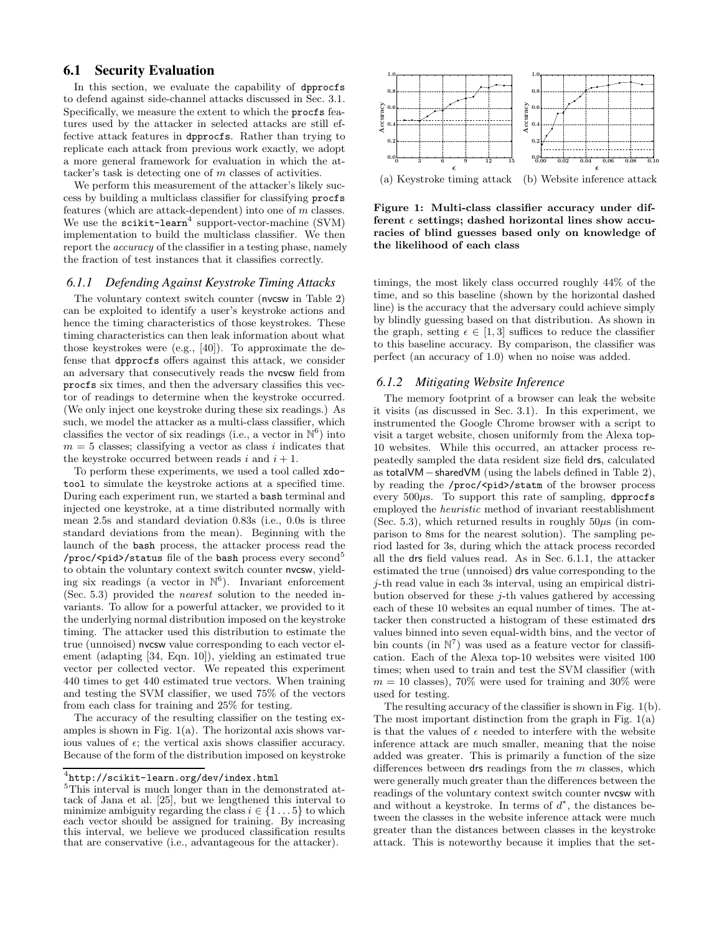### 6.1 Security Evaluation

In this section, we evaluate the capability of dpprocfs to defend against side-channel attacks discussed in Sec. 3.1. Specifically, we measure the extent to which the procfs features used by the attacker in selected attacks are still effective attack features in dpprocfs. Rather than trying to replicate each attack from previous work exactly, we adopt a more general framework for evaluation in which the attacker's task is detecting one of m classes of activities.

We perform this measurement of the attacker's likely success by building a multiclass classifier for classifying procfs features (which are attack-dependent) into one of m classes. We use the  $scikit-learn<sup>4</sup>$  support-vector-machine (SVM) implementation to build the multiclass classifier. We then report the accuracy of the classifier in a testing phase, namely the fraction of test instances that it classifies correctly.

#### *6.1.1 Defending Against Keystroke Timing Attacks*

The voluntary context switch counter (nvcsw in Table 2) can be exploited to identify a user's keystroke actions and hence the timing characteristics of those keystrokes. These timing characteristics can then leak information about what those keystrokes were (e.g., [40]). To approximate the defense that dpprocfs offers against this attack, we consider an adversary that consecutively reads the nvcsw field from procfs six times, and then the adversary classifies this vector of readings to determine when the keystroke occurred. (We only inject one keystroke during these six readings.) As such, we model the attacker as a multi-class classifier, which classifies the vector of six readings (i.e., a vector in  $\mathbb{N}^6$ ) into  $m = 5$  classes; classifying a vector as class i indicates that the keystroke occurred between reads i and  $i + 1$ .

To perform these experiments, we used a tool called xdotool to simulate the keystroke actions at a specified time. During each experiment run, we started a bash terminal and injected one keystroke, at a time distributed normally with mean 2.5s and standard deviation 0.83s (i.e., 0.0s is three standard deviations from the mean). Beginning with the launch of the bash process, the attacker process read the /proc/<pid>/status file of the bash process every second<sup>5</sup> to obtain the voluntary context switch counter nvcsw, yielding six readings (a vector in  $\mathbb{N}^6$ ). Invariant enforcement (Sec. 5.3) provided the nearest solution to the needed invariants. To allow for a powerful attacker, we provided to it the underlying normal distribution imposed on the keystroke timing. The attacker used this distribution to estimate the true (unnoised) nvcsw value corresponding to each vector element (adapting [34, Eqn. 10]), yielding an estimated true vector per collected vector. We repeated this experiment 440 times to get 440 estimated true vectors. When training and testing the SVM classifier, we used 75% of the vectors from each class for training and 25% for testing.

The accuracy of the resulting classifier on the testing examples is shown in Fig. 1(a). The horizontal axis shows various values of  $\epsilon$ ; the vertical axis shows classifier accuracy. Because of the form of the distribution imposed on keystroke



(a) Keystroke timing attack (b) Website inference attack

Figure 1: Multi-class classifier accuracy under different  $\epsilon$  settings; dashed horizontal lines show accuracies of blind guesses based only on knowledge of the likelihood of each class

timings, the most likely class occurred roughly 44% of the time, and so this baseline (shown by the horizontal dashed line) is the accuracy that the adversary could achieve simply by blindly guessing based on that distribution. As shown in the graph, setting  $\epsilon \in [1,3]$  suffices to reduce the classifier to this baseline accuracy. By comparison, the classifier was perfect (an accuracy of 1.0) when no noise was added.

#### *6.1.2 Mitigating Website Inference*

The memory footprint of a browser can leak the website it visits (as discussed in Sec. 3.1). In this experiment, we instrumented the Google Chrome browser with a script to visit a target website, chosen uniformly from the Alexa top-10 websites. While this occurred, an attacker process repeatedly sampled the data resident size field drs, calculated as totalVM−sharedVM (using the labels defined in Table 2), by reading the /proc/<pid>/statm of the browser process every  $500\mu s$ . To support this rate of sampling, dpprocfs employed the heuristic method of invariant reestablishment (Sec. 5.3), which returned results in roughly  $50\mu s$  (in comparison to 8ms for the nearest solution). The sampling period lasted for 3s, during which the attack process recorded all the drs field values read. As in Sec. 6.1.1, the attacker estimated the true (unnoised) drs value corresponding to the j-th read value in each 3s interval, using an empirical distribution observed for these j-th values gathered by accessing each of these 10 websites an equal number of times. The attacker then constructed a histogram of these estimated drs values binned into seven equal-width bins, and the vector of bin counts (in  $\mathbb{N}^7$ ) was used as a feature vector for classification. Each of the Alexa top-10 websites were visited 100 times; when used to train and test the SVM classifier (with  $m = 10$  classes), 70% were used for training and 30% were used for testing.

The resulting accuracy of the classifier is shown in Fig. 1(b). The most important distinction from the graph in Fig. 1(a) is that the values of  $\epsilon$  needed to interfere with the website inference attack are much smaller, meaning that the noise added was greater. This is primarily a function of the size differences between  $\textsf{drs}$  readings from the m classes, which were generally much greater than the differences between the readings of the voluntary context switch counter nvcsw with and without a keystroke. In terms of  $d^*$ , the distances between the classes in the website inference attack were much greater than the distances between classes in the keystroke attack. This is noteworthy because it implies that the set-

 $^4$ http://scikit-learn.org/dev/index.html

<sup>5</sup>This interval is much longer than in the demonstrated attack of Jana et al. [25], but we lengthened this interval to minimize ambiguity regarding the class  $i \in \{1 \dots 5\}$  to which each vector should be assigned for training. By increasing this interval, we believe we produced classification results that are conservative (i.e., advantageous for the attacker).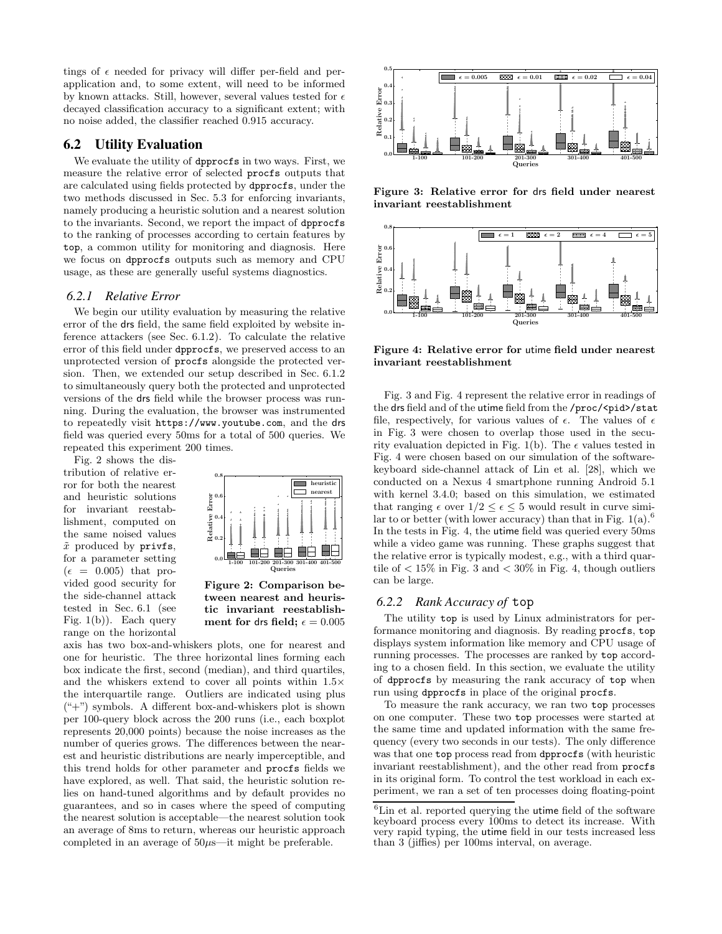tings of  $\epsilon$  needed for privacy will differ per-field and perapplication and, to some extent, will need to be informed by known attacks. Still, however, several values tested for  $\epsilon$ decayed classification accuracy to a significant extent; with no noise added, the classifier reached 0.915 accuracy.

#### 6.2 Utility Evaluation

We evaluate the utility of dpprocfs in two ways. First, we measure the relative error of selected procfs outputs that are calculated using fields protected by dpprocfs, under the two methods discussed in Sec. 5.3 for enforcing invariants, namely producing a heuristic solution and a nearest solution to the invariants. Second, we report the impact of dpprocfs to the ranking of processes according to certain features by top, a common utility for monitoring and diagnosis. Here we focus on dpprocfs outputs such as memory and CPU usage, as these are generally useful systems diagnostics.

#### *6.2.1 Relative Error*

We begin our utility evaluation by measuring the relative error of the drs field, the same field exploited by website inference attackers (see Sec. 6.1.2). To calculate the relative error of this field under dpprocfs, we preserved access to an unprotected version of procfs alongside the protected version. Then, we extended our setup described in Sec. 6.1.2 to simultaneously query both the protected and unprotected versions of the drs field while the browser process was running. During the evaluation, the browser was instrumented to repeatedly visit https://www.youtube.com, and the drs field was queried every 50ms for a total of 500 queries. We repeated this experiment 200 times.

Fig. 2 shows the distribution of relative error for both the nearest and heuristic solutions for invariant reestablishment, computed on the same noised values  $\tilde{x}$  produced by privfs, for a parameter setting  $(\epsilon = 0.005)$  that provided good security for the side-channel attack tested in Sec. 6.1 (see Fig. 1(b)). Each query range on the horizontal



Figure 2: Comparison between nearest and heuristic invariant reestablishment for drs field;  $\epsilon = 0.005$ 

axis has two box-and-whiskers plots, one for nearest and one for heuristic. The three horizontal lines forming each box indicate the first, second (median), and third quartiles, and the whiskers extend to cover all points within 1.5× the interquartile range. Outliers are indicated using plus  $($ "+") symbols. A different box-and-whiskers plot is shown per 100-query block across the 200 runs (i.e., each boxplot represents 20,000 points) because the noise increases as the number of queries grows. The differences between the nearest and heuristic distributions are nearly imperceptible, and this trend holds for other parameter and procfs fields we have explored, as well. That said, the heuristic solution relies on hand-tuned algorithms and by default provides no guarantees, and so in cases where the speed of computing the nearest solution is acceptable—the nearest solution took an average of 8ms to return, whereas our heuristic approach completed in an average of  $50\mu s$ —it might be preferable.



Figure 3: Relative error for drs field under nearest invariant reestablishment



Figure 4: Relative error for utime field under nearest invariant reestablishment

Fig. 3 and Fig. 4 represent the relative error in readings of the drs field and of the utime field from the /proc/<pid>/stat file, respectively, for various values of  $\epsilon$ . The values of  $\epsilon$ in Fig. 3 were chosen to overlap those used in the security evaluation depicted in Fig. 1(b). The  $\epsilon$  values tested in Fig. 4 were chosen based on our simulation of the softwarekeyboard side-channel attack of Lin et al. [28], which we conducted on a Nexus 4 smartphone running Android 5.1 with kernel 3.4.0; based on this simulation, we estimated that ranging  $\epsilon$  over  $1/2 \leq \epsilon \leq 5$  would result in curve similar to or better (with lower accuracy) than that in Fig.  $1(a)$ .<sup>6</sup> In the tests in Fig. 4, the utime field was queried every 50ms while a video game was running. These graphs suggest that the relative error is typically modest, e.g., with a third quartile of  $\langle 15\% \rangle$  in Fig. 3 and  $\langle 30\% \rangle$  in Fig. 4, though outliers can be large.

#### *6.2.2 Rank Accuracy of* top

The utility top is used by Linux administrators for performance monitoring and diagnosis. By reading procfs, top displays system information like memory and CPU usage of running processes. The processes are ranked by top according to a chosen field. In this section, we evaluate the utility of dpprocfs by measuring the rank accuracy of top when run using dpprocfs in place of the original procfs.

To measure the rank accuracy, we ran two top processes on one computer. These two top processes were started at the same time and updated information with the same frequency (every two seconds in our tests). The only difference was that one top process read from dpprocfs (with heuristic invariant reestablishment), and the other read from procfs in its original form. To control the test workload in each experiment, we ran a set of ten processes doing floating-point

 ${}^{6}$ Lin et al. reported querying the utime field of the software keyboard process every 100ms to detect its increase. With very rapid typing, the utime field in our tests increased less than 3 (jiffies) per 100ms interval, on average.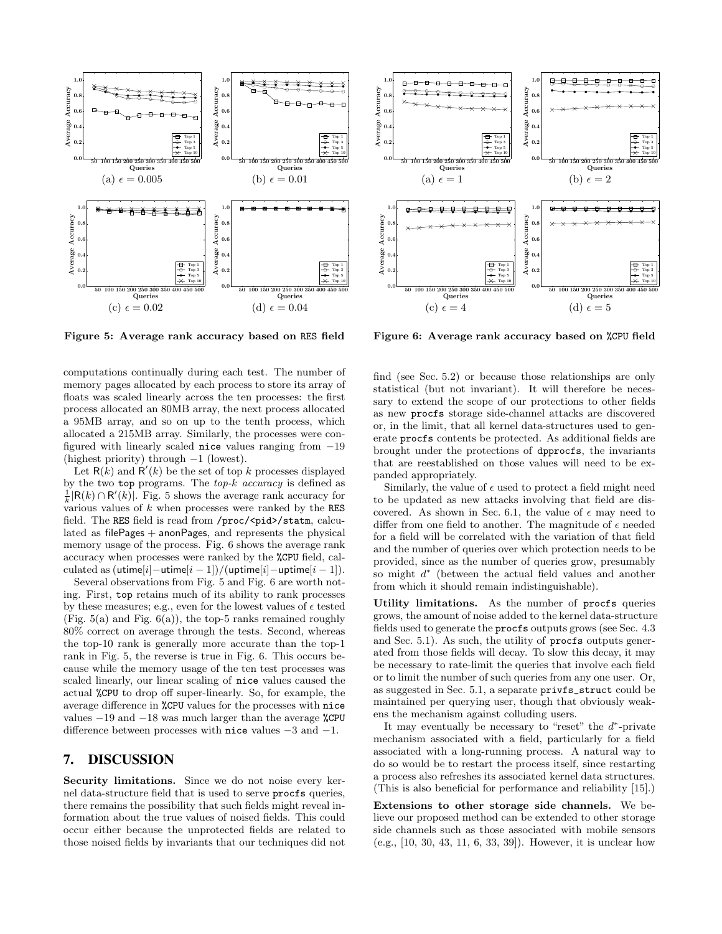

Figure 5: Average rank accuracy based on RES field

computations continually during each test. The number of memory pages allocated by each process to store its array of floats was scaled linearly across the ten processes: the first process allocated an 80MB array, the next process allocated a 95MB array, and so on up to the tenth process, which allocated a 215MB array. Similarly, the processes were configured with linearly scaled nice values ranging from −19 (highest priority) through −1 (lowest).

Let  $R(k)$  and  $R'(k)$  be the set of top k processes displayed by the two top programs. The top-k accuracy is defined as  $\frac{1}{k}$ |R(k) ∩ R'(k)|. Fig. 5 shows the average rank accuracy for various values of  $k$  when processes were ranked by the RES field. The RES field is read from /proc/<pid>/statm, calculated as filePages + anonPages, and represents the physical memory usage of the process. Fig. 6 shows the average rank accuracy when processes were ranked by the %CPU field, calculated as  $(\text{utime}[i] - \text{utime}[i - 1])/(\text{uptime}[i] - \text{uptime}[i - 1]).$ 

Several observations from Fig. 5 and Fig. 6 are worth noting. First, top retains much of its ability to rank processes by these measures; e.g., even for the lowest values of  $\epsilon$  tested (Fig.  $5(a)$  and Fig.  $6(a)$ ), the top-5 ranks remained roughly 80% correct on average through the tests. Second, whereas the top-10 rank is generally more accurate than the top-1 rank in Fig. 5, the reverse is true in Fig. 6. This occurs because while the memory usage of the ten test processes was scaled linearly, our linear scaling of nice values caused the actual %CPU to drop off super-linearly. So, for example, the average difference in %CPU values for the processes with nice values −19 and −18 was much larger than the average %CPU difference between processes with nice values −3 and −1.

### 7. DISCUSSION

Security limitations. Since we do not noise every kernel data-structure field that is used to serve procfs queries, there remains the possibility that such fields might reveal information about the true values of noised fields. This could occur either because the unprotected fields are related to those noised fields by invariants that our techniques did not



Figure 6: Average rank accuracy based on %CPU field

find (see Sec. 5.2) or because those relationships are only statistical (but not invariant). It will therefore be necessary to extend the scope of our protections to other fields as new procfs storage side-channel attacks are discovered or, in the limit, that all kernel data-structures used to generate procfs contents be protected. As additional fields are brought under the protections of dpprocfs, the invariants that are reestablished on those values will need to be expanded appropriately.

Similarly, the value of  $\epsilon$  used to protect a field might need to be updated as new attacks involving that field are discovered. As shown in Sec. 6.1, the value of  $\epsilon$  may need to differ from one field to another. The magnitude of  $\epsilon$  needed for a field will be correlated with the variation of that field and the number of queries over which protection needs to be provided, since as the number of queries grow, presumably so might  $d^*$  (between the actual field values and another from which it should remain indistinguishable).

Utility limitations. As the number of procfs queries grows, the amount of noise added to the kernel data-structure fields used to generate the procfs outputs grows (see Sec. 4.3 and Sec. 5.1). As such, the utility of procfs outputs generated from those fields will decay. To slow this decay, it may be necessary to rate-limit the queries that involve each field or to limit the number of such queries from any one user. Or, as suggested in Sec. 5.1, a separate privfs\_struct could be maintained per querying user, though that obviously weakens the mechanism against colluding users.

It may eventually be necessary to "reset" the  $d^*$ -private mechanism associated with a field, particularly for a field associated with a long-running process. A natural way to do so would be to restart the process itself, since restarting a process also refreshes its associated kernel data structures. (This is also beneficial for performance and reliability [15].)

Extensions to other storage side channels. We believe our proposed method can be extended to other storage side channels such as those associated with mobile sensors (e.g., [10, 30, 43, 11, 6, 33, 39]). However, it is unclear how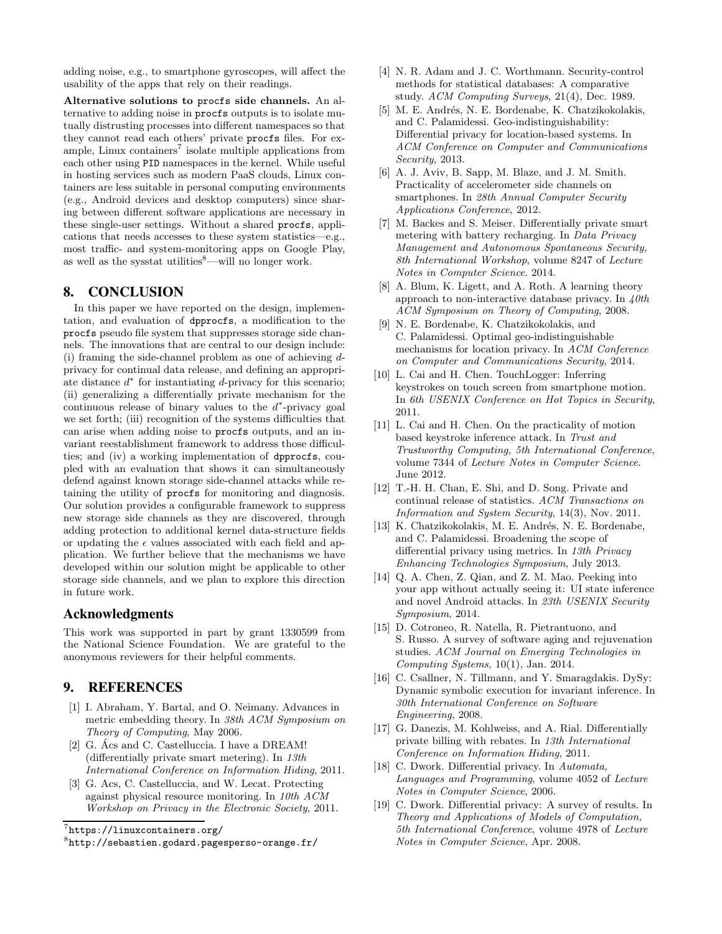adding noise, e.g., to smartphone gyroscopes, will affect the usability of the apps that rely on their readings.

Alternative solutions to procfs side channels. An alternative to adding noise in procfs outputs is to isolate mutually distrusting processes into different namespaces so that they cannot read each others' private procfs files. For example, Linux containers<sup>7</sup> isolate multiple applications from each other using PID namespaces in the kernel. While useful in hosting services such as modern PaaS clouds, Linux containers are less suitable in personal computing environments (e.g., Android devices and desktop computers) since sharing between different software applications are necessary in these single-user settings. Without a shared procfs, applications that needs accesses to these system statistics—e.g., most traffic- and system-monitoring apps on Google Play, as well as the sysstat utilities $\text{8}$ —will no longer work.

### 8. CONCLUSION

In this paper we have reported on the design, implementation, and evaluation of dpprocfs, a modification to the procfs pseudo file system that suppresses storage side channels. The innovations that are central to our design include: (i) framing the side-channel problem as one of achieving dprivacy for continual data release, and defining an appropriate distance  $d^*$  for instantiating  $d$ -privacy for this scenario; (ii) generalizing a differentially private mechanism for the continuous release of binary values to the  $d^*$ -privacy goal we set forth; (iii) recognition of the systems difficulties that can arise when adding noise to procfs outputs, and an invariant reestablishment framework to address those difficulties; and (iv) a working implementation of dpprocfs, coupled with an evaluation that shows it can simultaneously defend against known storage side-channel attacks while retaining the utility of procfs for monitoring and diagnosis. Our solution provides a configurable framework to suppress new storage side channels as they are discovered, through adding protection to additional kernel data-structure fields or updating the  $\epsilon$  values associated with each field and application. We further believe that the mechanisms we have developed within our solution might be applicable to other storage side channels, and we plan to explore this direction in future work.

### Acknowledgments

This work was supported in part by grant 1330599 from the National Science Foundation. We are grateful to the anonymous reviewers for their helpful comments.

### 9. REFERENCES

- [1] I. Abraham, Y. Bartal, and O. Neimany. Advances in metric embedding theory. In 38th ACM Symposium on Theory of Computing, May 2006.
- [2] G. Ács and C. Castelluccia. I have a DREAM! (differentially private smart metering). In 13th International Conference on Information Hiding, 2011.
- [3] G. Acs, C. Castelluccia, and W. Lecat. Protecting against physical resource monitoring. In 10th ACM Workshop on Privacy in the Electronic Society, 2011.
- [4] N. R. Adam and J. C. Worthmann. Security-control methods for statistical databases: A comparative study. ACM Computing Surveys, 21(4), Dec. 1989.
- [5] M. E. Andrés, N. E. Bordenabe, K. Chatzikokolakis, and C. Palamidessi. Geo-indistinguishability: Differential privacy for location-based systems. In ACM Conference on Computer and Communications Security, 2013.
- [6] A. J. Aviv, B. Sapp, M. Blaze, and J. M. Smith. Practicality of accelerometer side channels on smartphones. In 28th Annual Computer Security Applications Conference, 2012.
- [7] M. Backes and S. Meiser. Differentially private smart metering with battery recharging. In Data Privacy Management and Autonomous Spontaneous Security, 8th International Workshop, volume 8247 of Lecture Notes in Computer Science. 2014.
- [8] A. Blum, K. Ligett, and A. Roth. A learning theory approach to non-interactive database privacy. In  $40th$ ACM Symposium on Theory of Computing, 2008.
- [9] N. E. Bordenabe, K. Chatzikokolakis, and C. Palamidessi. Optimal geo-indistinguishable mechanisms for location privacy. In ACM Conference on Computer and Communications Security, 2014.
- [10] L. Cai and H. Chen. TouchLogger: Inferring keystrokes on touch screen from smartphone motion. In 6th USENIX Conference on Hot Topics in Security, 2011.
- [11] L. Cai and H. Chen. On the practicality of motion based keystroke inference attack. In Trust and Trustworthy Computing, 5th International Conference, volume 7344 of Lecture Notes in Computer Science. June 2012.
- [12] T.-H. H. Chan, E. Shi, and D. Song. Private and continual release of statistics. ACM Transactions on Information and System Security, 14(3), Nov. 2011.
- [13] K. Chatzikokolakis, M. E. Andrés, N. E. Bordenabe, and C. Palamidessi. Broadening the scope of differential privacy using metrics. In 13th Privacy Enhancing Technologies Symposium, July 2013.
- [14] Q. A. Chen, Z. Qian, and Z. M. Mao. Peeking into your app without actually seeing it: UI state inference and novel Android attacks. In 23th USENIX Security Symposium, 2014.
- [15] D. Cotroneo, R. Natella, R. Pietrantuono, and S. Russo. A survey of software aging and rejuvenation studies. ACM Journal on Emerging Technologies in Computing Systems, 10(1), Jan. 2014.
- [16] C. Csallner, N. Tillmann, and Y. Smaragdakis. DySy: Dynamic symbolic execution for invariant inference. In 30th International Conference on Software Engineering, 2008.
- [17] G. Danezis, M. Kohlweiss, and A. Rial. Differentially private billing with rebates. In 13th International Conference on Information Hiding, 2011.
- [18] C. Dwork. Differential privacy. In Automata, Languages and Programming, volume 4052 of Lecture Notes in Computer Science, 2006.
- [19] C. Dwork. Differential privacy: A survey of results. In Theory and Applications of Models of Computation, 5th International Conference, volume 4978 of Lecture Notes in Computer Science, Apr. 2008.

<sup>7</sup> https://linuxcontainers.org/

<sup>8</sup> http://sebastien.godard.pagesperso-orange.fr/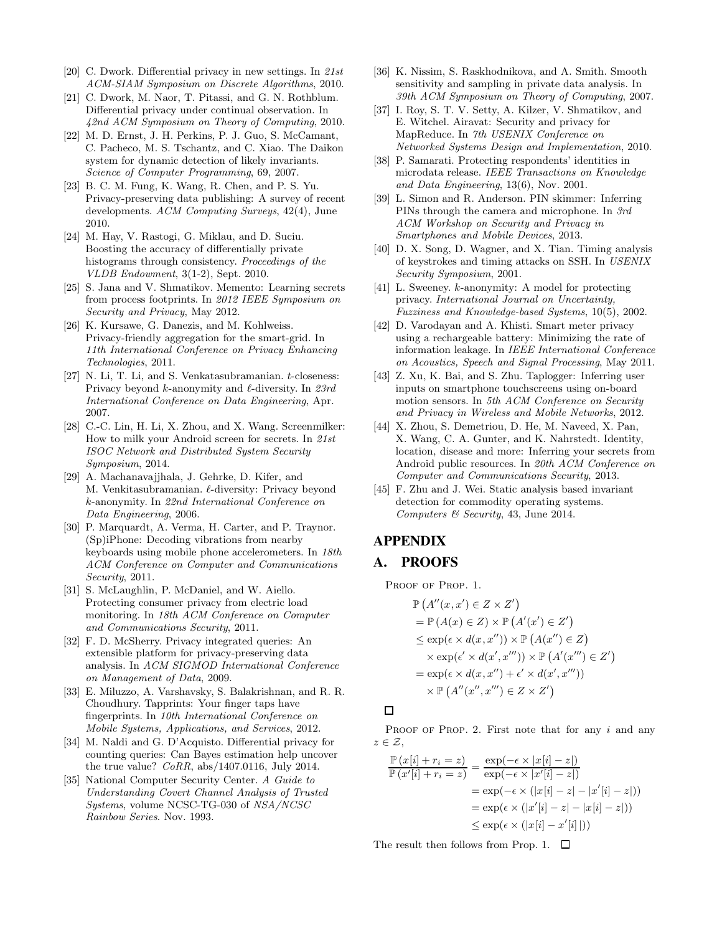- [20] C. Dwork. Differential privacy in new settings. In 21st ACM-SIAM Symposium on Discrete Algorithms, 2010.
- [21] C. Dwork, M. Naor, T. Pitassi, and G. N. Rothblum. Differential privacy under continual observation. In 42nd ACM Symposium on Theory of Computing, 2010.
- [22] M. D. Ernst, J. H. Perkins, P. J. Guo, S. McCamant, C. Pacheco, M. S. Tschantz, and C. Xiao. The Daikon system for dynamic detection of likely invariants. Science of Computer Programming, 69, 2007.
- [23] B. C. M. Fung, K. Wang, R. Chen, and P. S. Yu. Privacy-preserving data publishing: A survey of recent developments. ACM Computing Surveys, 42(4), June 2010.
- [24] M. Hay, V. Rastogi, G. Miklau, and D. Suciu. Boosting the accuracy of differentially private histograms through consistency. Proceedings of the VLDB Endowment, 3(1-2), Sept. 2010.
- [25] S. Jana and V. Shmatikov. Memento: Learning secrets from process footprints. In 2012 IEEE Symposium on Security and Privacy, May 2012.
- [26] K. Kursawe, G. Danezis, and M. Kohlweiss. Privacy-friendly aggregation for the smart-grid. In 11th International Conference on Privacy Enhancing Technologies, 2011.
- [27] N. Li, T. Li, and S. Venkatasubramanian. t-closeness: Privacy beyond  $k$ -anonymity and  $\ell$ -diversity. In 23rd International Conference on Data Engineering, Apr. 2007.
- [28] C.-C. Lin, H. Li, X. Zhou, and X. Wang. Screenmilker: How to milk your Android screen for secrets. In 21st ISOC Network and Distributed System Security Symposium, 2014.
- [29] A. Machanavajjhala, J. Gehrke, D. Kifer, and M. Venkitasubramanian. ℓ-diversity: Privacy beyond k-anonymity. In 22nd International Conference on Data Engineering, 2006.
- [30] P. Marquardt, A. Verma, H. Carter, and P. Traynor. (Sp)iPhone: Decoding vibrations from nearby keyboards using mobile phone accelerometers. In 18th ACM Conference on Computer and Communications Security, 2011.
- [31] S. McLaughlin, P. McDaniel, and W. Aiello. Protecting consumer privacy from electric load monitoring. In 18th ACM Conference on Computer and Communications Security, 2011.
- [32] F. D. McSherry. Privacy integrated queries: An extensible platform for privacy-preserving data analysis. In ACM SIGMOD International Conference on Management of Data, 2009.
- [33] E. Miluzzo, A. Varshavsky, S. Balakrishnan, and R. R. Choudhury. Tapprints: Your finger taps have fingerprints. In 10th International Conference on Mobile Systems, Applications, and Services, 2012.
- [34] M. Naldi and G. D'Acquisto. Differential privacy for counting queries: Can Bayes estimation help uncover the true value?  $CoRR$ , abs/1407.0116, July 2014.
- [35] National Computer Security Center. A Guide to Understanding Covert Channel Analysis of Trusted Systems, volume NCSC-TG-030 of NSA/NCSC Rainbow Series. Nov. 1993.
- [36] K. Nissim, S. Raskhodnikova, and A. Smith. Smooth sensitivity and sampling in private data analysis. In 39th ACM Symposium on Theory of Computing, 2007.
- [37] I. Roy, S. T. V. Setty, A. Kilzer, V. Shmatikov, and E. Witchel. Airavat: Security and privacy for MapReduce. In 7th USENIX Conference on Networked Systems Design and Implementation, 2010.
- [38] P. Samarati. Protecting respondents' identities in microdata release. IEEE Transactions on Knowledge and Data Engineering, 13(6), Nov. 2001.
- [39] L. Simon and R. Anderson. PIN skimmer: Inferring PINs through the camera and microphone. In 3rd ACM Workshop on Security and Privacy in Smartphones and Mobile Devices, 2013.
- [40] D. X. Song, D. Wagner, and X. Tian. Timing analysis of keystrokes and timing attacks on SSH. In USENIX Security Symposium, 2001.
- [41] L. Sweeney. k-anonymity: A model for protecting privacy. International Journal on Uncertainty, Fuzziness and Knowledge-based Systems, 10(5), 2002.
- [42] D. Varodayan and A. Khisti. Smart meter privacy using a rechargeable battery: Minimizing the rate of information leakage. In IEEE International Conference on Acoustics, Speech and Signal Processing, May 2011.
- [43] Z. Xu, K. Bai, and S. Zhu. Taplogger: Inferring user inputs on smartphone touchscreens using on-board motion sensors. In 5th ACM Conference on Security and Privacy in Wireless and Mobile Networks, 2012.
- [44] X. Zhou, S. Demetriou, D. He, M. Naveed, X. Pan, X. Wang, C. A. Gunter, and K. Nahrstedt. Identity, location, disease and more: Inferring your secrets from Android public resources. In 20th ACM Conference on Computer and Communications Security, 2013.
- [45] F. Zhu and J. Wei. Static analysis based invariant detection for commodity operating systems. Computers & Security, 43, June 2014.

# APPENDIX

### A. PROOFS

PROOF OF PROP. 1.

$$
\mathbb{P}\left(A''(x, x') \in Z \times Z'\right)
$$
\n
$$
= \mathbb{P}\left(A(x) \in Z\right) \times \mathbb{P}\left(A'(x') \in Z'\right)
$$
\n
$$
\leq \exp(\epsilon \times d(x, x'')) \times \mathbb{P}\left(A(x'') \in Z\right)
$$
\n
$$
\times \exp(\epsilon' \times d(x', x''')) \times \mathbb{P}\left(A'(x''') \in Z'\right)
$$
\n
$$
= \exp(\epsilon \times d(x, x'') + \epsilon' \times d(x', x'''))
$$
\n
$$
\times \mathbb{P}\left(A''(x'', x''') \in Z \times Z'\right)
$$

## $\Box$

PROOF OF PROP. 2. First note that for any  $i$  and any  $z \in \mathcal{Z}$ ,

$$
\frac{\mathbb{P}\left(x[i] + r_i = z\right)}{\mathbb{P}\left(x'[i] + r_i = z\right)} = \frac{\exp(-\epsilon \times |x[i] - z|)}{\exp(-\epsilon \times |x'[i] - z|)}
$$
\n
$$
= \exp(-\epsilon \times (|x[i] - z| - |x'[i] - z|))
$$
\n
$$
= \exp(\epsilon \times (|x'[i] - z| - |x[i] - z|))
$$
\n
$$
\leq \exp(\epsilon \times (|x[i] - x'[i|]))
$$

The result then follows from Prop. 1.  $\Box$